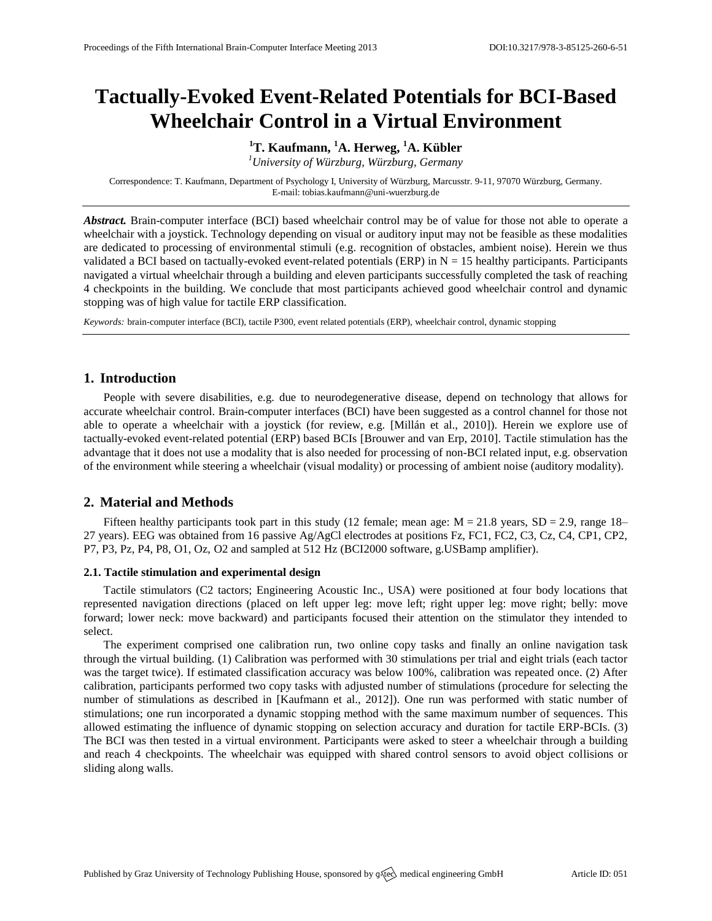# **Tactually-Evoked Event-Related Potentials for BCI-Based Wheelchair Control in a Virtual Environment**

**<sup>1</sup>T. Kaufmann, <sup>1</sup>A. Herweg, <sup>1</sup>A. Kübler**

*<sup>1</sup>University of Würzburg, Würzburg, Germany*

Correspondence: T. Kaufmann, Department of Psychology I, University of Würzburg, Marcusstr. 9-11, 97070 Würzburg, Germany. E-mail[: tobias.kaufmann@uni-wuerzburg.de](mailto:tobias.kaufmann@uni-wuerzburg.de)

*Abstract.* Brain-computer interface (BCI) based wheelchair control may be of value for those not able to operate a wheelchair with a joystick. Technology depending on visual or auditory input may not be feasible as these modalities are dedicated to processing of environmental stimuli (e.g. recognition of obstacles, ambient noise). Herein we thus validated a BCI based on tactually-evoked event-related potentials (ERP) in  $N = 15$  healthy participants. Participants navigated a virtual wheelchair through a building and eleven participants successfully completed the task of reaching 4 checkpoints in the building. We conclude that most participants achieved good wheelchair control and dynamic stopping was of high value for tactile ERP classification.

*Keywords:* brain-computer interface (BCI), tactile P300, event related potentials (ERP), wheelchair control, dynamic stopping

## **1. Introduction**

People with severe disabilities, e.g. due to neurodegenerative disease, depend on technology that allows for accurate wheelchair control. Brain-computer interfaces (BCI) have been suggested as a control channel for those not able to operate a wheelchair with a joystick (for review, e.g. [Millán et al., 2010]). Herein we explore use of tactually-evoked event-related potential (ERP) based BCIs [Brouwer and van Erp, 2010]. Tactile stimulation has the advantage that it does not use a modality that is also needed for processing of non-BCI related input, e.g. observation of the environment while steering a wheelchair (visual modality) or processing of ambient noise (auditory modality).

## **2. Material and Methods**

Fifteen healthy participants took part in this study (12 female; mean age:  $M = 21.8$  years,  $SD = 2.9$ , range 18– 27 years). EEG was obtained from 16 passive Ag/AgCl electrodes at positions Fz, FC1, FC2, C3, Cz, C4, CP1, CP2, P7, P3, Pz, P4, P8, O1, Oz, O2 and sampled at 512 Hz (BCI2000 software, g.USBamp amplifier).

### **2.1. Tactile stimulation and experimental design**

Tactile stimulators (C2 tactors; Engineering Acoustic Inc., USA) were positioned at four body locations that represented navigation directions (placed on left upper leg: move left; right upper leg: move right; belly: move forward; lower neck: move backward) and participants focused their attention on the stimulator they intended to select.

The experiment comprised one calibration run, two online copy tasks and finally an online navigation task through the virtual building. (1) Calibration was performed with 30 stimulations per trial and eight trials (each tactor was the target twice). If estimated classification accuracy was below 100%, calibration was repeated once. (2) After calibration, participants performed two copy tasks with adjusted number of stimulations (procedure for selecting the number of stimulations as described in [Kaufmann et al., 2012]). One run was performed with static number of stimulations; one run incorporated a dynamic stopping method with the same maximum number of sequences. This allowed estimating the influence of dynamic stopping on selection accuracy and duration for tactile ERP-BCIs. (3) The BCI was then tested in a virtual environment. Participants were asked to steer a wheelchair through a building and reach 4 checkpoints. The wheelchair was equipped with shared control sensors to avoid object collisions or sliding along walls.